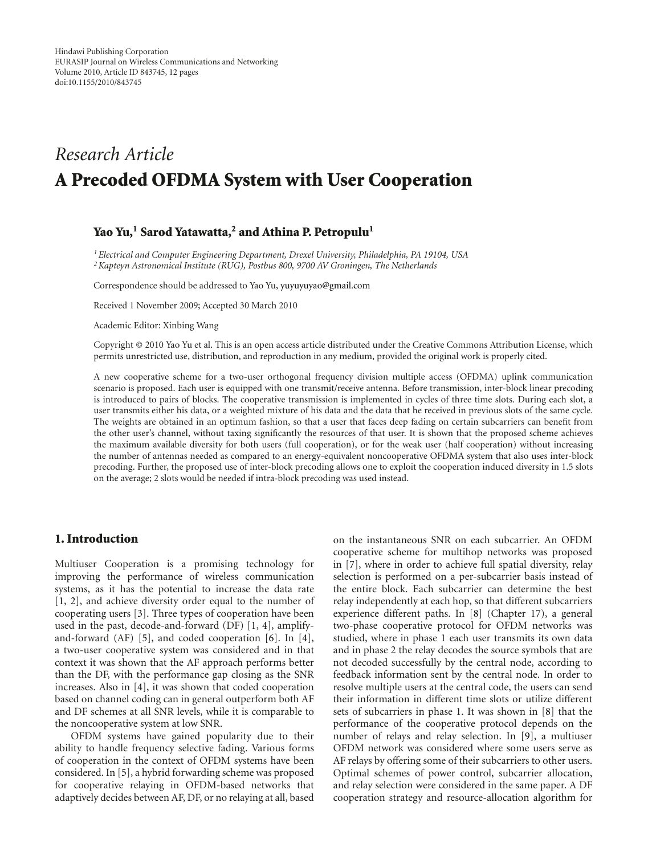# *Research Article* **A Precoded OFDMA System with User Cooperation**

# **Yao Yu,1 Sarod Yatawatta,2 and Athina P. Petropulu1**

*1Electrical and Computer Engineering Department, Drexel University, Philadelphia, PA 19104, USA 2Kapteyn Astronomical Institute (RUG), Postbus 800, 9700 AV Groningen, The Netherlands*

Correspondence should be addressed to Yao Yu, yuyuyuyao@gmail.com

Received 1 November 2009; Accepted 30 March 2010

Academic Editor: Xinbing Wang

Copyright © 2010 Yao Yu et al. This is an open access article distributed under the Creative Commons Attribution License, which permits unrestricted use, distribution, and reproduction in any medium, provided the original work is properly cited.

A new cooperative scheme for a two-user orthogonal frequency division multiple access (OFDMA) uplink communication scenario is proposed. Each user is equipped with one transmit/receive antenna. Before transmission, inter-block linear precoding is introduced to pairs of blocks. The cooperative transmission is implemented in cycles of three time slots. During each slot, a user transmits either his data, or a weighted mixture of his data and the data that he received in previous slots of the same cycle. The weights are obtained in an optimum fashion, so that a user that faces deep fading on certain subcarriers can benefit from the other user's channel, without taxing significantly the resources of that user. It is shown that the proposed scheme achieves the maximum available diversity for both users (full cooperation), or for the weak user (half cooperation) without increasing the number of antennas needed as compared to an energy-equivalent noncooperative OFDMA system that also uses inter-block precoding. Further, the proposed use of inter-block precoding allows one to exploit the cooperation induced diversity in 1.5 slots on the average; 2 slots would be needed if intra-block precoding was used instead.

#### **1. Introduction**

Multiuser Cooperation is a promising technology for improving the performance of wireless communication systems, as it has the potential to increase the data rate [1, 2], and achieve diversity order equal to the number of cooperating users [3]. Three types of cooperation have been used in the past, decode-and-forward (DF) [1, 4], amplifyand-forward (AF) [5], and coded cooperation [6]. In [4], a two-user cooperative system was considered and in that context it was shown that the AF approach performs better than the DF, with the performance gap closing as the SNR increases. Also in [4], it was shown that coded cooperation based on channel coding can in general outperform both AF and DF schemes at all SNR levels, while it is comparable to the noncooperative system at low SNR.

OFDM systems have gained popularity due to their ability to handle frequency selective fading. Various forms of cooperation in the context of OFDM systems have been considered. In [5], a hybrid forwarding scheme was proposed for cooperative relaying in OFDM-based networks that adaptively decides between AF, DF, or no relaying at all, based

on the instantaneous SNR on each subcarrier. An OFDM cooperative scheme for multihop networks was proposed in [7], where in order to achieve full spatial diversity, relay selection is performed on a per-subcarrier basis instead of the entire block. Each subcarrier can determine the best relay independently at each hop, so that different subcarriers experience different paths. In [8] (Chapter 17), a general two-phase cooperative protocol for OFDM networks was studied, where in phase 1 each user transmits its own data and in phase 2 the relay decodes the source symbols that are not decoded successfully by the central node, according to feedback information sent by the central node. In order to resolve multiple users at the central code, the users can send their information in different time slots or utilize different sets of subcarriers in phase 1. It was shown in [8] that the performance of the cooperative protocol depends on the number of relays and relay selection. In [9], a multiuser OFDM network was considered where some users serve as AF relays by offering some of their subcarriers to other users. Optimal schemes of power control, subcarrier allocation, and relay selection were considered in the same paper. A DF cooperation strategy and resource-allocation algorithm for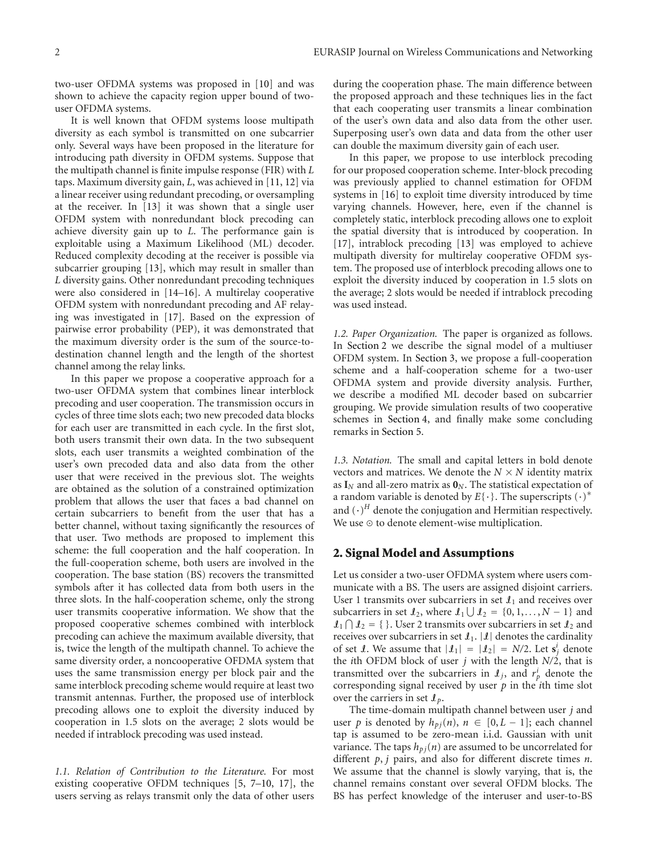two-user OFDMA systems was proposed in [10] and was shown to achieve the capacity region upper bound of twouser OFDMA systems.

It is well known that OFDM systems loose multipath diversity as each symbol is transmitted on one subcarrier only. Several ways have been proposed in the literature for introducing path diversity in OFDM systems. Suppose that the multipath channel is finite impulse response (FIR) with *L* taps. Maximum diversity gain, *L*, was achieved in [11, 12] via a linear receiver using redundant precoding, or oversampling at the receiver. In [13] it was shown that a single user OFDM system with nonredundant block precoding can achieve diversity gain up to *L*. The performance gain is exploitable using a Maximum Likelihood (ML) decoder. Reduced complexity decoding at the receiver is possible via subcarrier grouping [13], which may result in smaller than *L* diversity gains. Other nonredundant precoding techniques were also considered in [14–16]. A multirelay cooperative OFDM system with nonredundant precoding and AF relaying was investigated in [17]. Based on the expression of pairwise error probability (PEP), it was demonstrated that the maximum diversity order is the sum of the source-todestination channel length and the length of the shortest channel among the relay links.

In this paper we propose a cooperative approach for a two-user OFDMA system that combines linear interblock precoding and user cooperation. The transmission occurs in cycles of three time slots each; two new precoded data blocks for each user are transmitted in each cycle. In the first slot, both users transmit their own data. In the two subsequent slots, each user transmits a weighted combination of the user's own precoded data and also data from the other user that were received in the previous slot. The weights are obtained as the solution of a constrained optimization problem that allows the user that faces a bad channel on certain subcarriers to benefit from the user that has a better channel, without taxing significantly the resources of that user. Two methods are proposed to implement this scheme: the full cooperation and the half cooperation. In the full-cooperation scheme, both users are involved in the cooperation. The base station (BS) recovers the transmitted symbols after it has collected data from both users in the three slots. In the half-cooperation scheme, only the strong user transmits cooperative information. We show that the proposed cooperative schemes combined with interblock precoding can achieve the maximum available diversity, that is, twice the length of the multipath channel. To achieve the same diversity order, a noncooperative OFDMA system that uses the same transmission energy per block pair and the same interblock precoding scheme would require at least two transmit antennas. Further, the proposed use of interblock precoding allows one to exploit the diversity induced by cooperation in 1.5 slots on the average; 2 slots would be needed if intrablock precoding was used instead.

*1.1. Relation of Contribution to the Literature.* For most existing cooperative OFDM techniques [5, 7–10, 17], the users serving as relays transmit only the data of other users

during the cooperation phase. The main difference between the proposed approach and these techniques lies in the fact that each cooperating user transmits a linear combination of the user's own data and also data from the other user. Superposing user's own data and data from the other user can double the maximum diversity gain of each user.

In this paper, we propose to use interblock precoding for our proposed cooperation scheme. Inter-block precoding was previously applied to channel estimation for OFDM systems in [16] to exploit time diversity introduced by time varying channels. However, here, even if the channel is completely static, interblock precoding allows one to exploit the spatial diversity that is introduced by cooperation. In [17], intrablock precoding [13] was employed to achieve multipath diversity for multirelay cooperative OFDM system. The proposed use of interblock precoding allows one to exploit the diversity induced by cooperation in 1*.*5 slots on the average; 2 slots would be needed if intrablock precoding was used instead.

*1.2. Paper Organization.* The paper is organized as follows. In Section 2 we describe the signal model of a multiuser OFDM system. In Section 3, we propose a full-cooperation scheme and a half-cooperation scheme for a two-user OFDMA system and provide diversity analysis. Further, we describe a modified ML decoder based on subcarrier grouping. We provide simulation results of two cooperative schemes in Section 4, and finally make some concluding remarks in Section 5.

*1.3. Notation.* The small and capital letters in bold denote vectors and matrices. We denote the  $N \times N$  identity matrix as  $I_N$  and all-zero matrix as  $0_N$ . The statistical expectation of a random variable is denoted by  $E\{\cdot\}$ . The superscripts  $(\cdot)^*$ and  $(\cdot)^H$  denote the conjugation and Hermitian respectively. We use  $\odot$  to denote element-wise multiplication.

#### **2. Signal Model and Assumptions**

Let us consider a two-user OFDMA system where users communicate with a BS. The users are assigned disjoint carriers. User 1 transmits over subcarriers in set  $\mathcal{I}_1$  and receives over subcarriers in set  $\mathcal{I}_2$ , where  $\mathcal{I}_1 \cup \mathcal{I}_2 = \{0, 1, ..., N - 1\}$  and  $\mathcal{I}_1 \cap \mathcal{I}_2 = \{\}\.$  User 2 transmits over subcarriers in set  $\mathcal{I}_2$  and receives over subcarriers in set  $\mathcal{I}_1$ .  $|\mathcal{I}|$  denotes the cardinality of set *I*. We assume that  $|I_1| = |I_2| = N/2$ . Let  $s_j^i$  denote the *i*th OFDM block of user *j* with the length *N/*2, that is transmitted over the subcarriers in  $I_j$ , and  $r_p^i$  denote the corresponding signal received by user *p* in the *i*th time slot over the carriers in set  $\mathcal{I}_p$ .

The time-domain multipath channel between user *j* and user *p* is denoted by  $h_{pj}(n)$ ,  $n \in [0, L - 1]$ ; each channel tap is assumed to be zero-mean i.i.d. Gaussian with unit variance. The taps  $h_{pj}(n)$  are assumed to be uncorrelated for different *p*, *j* pairs, and also for different discrete times *n*. We assume that the channel is slowly varying, that is, the channel remains constant over several OFDM blocks. The BS has perfect knowledge of the interuser and user-to-BS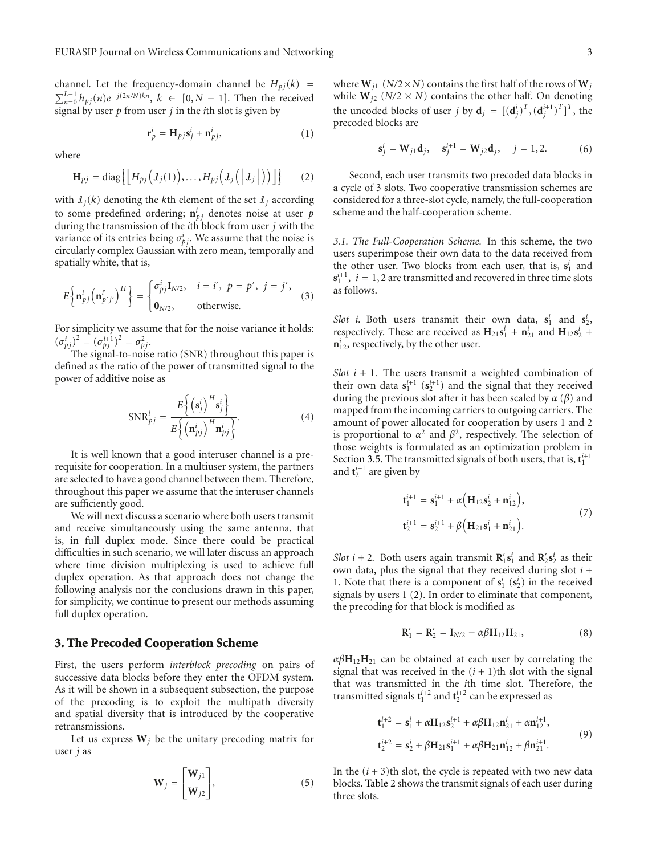channel. Let the frequency-domain channel be  $H_{pj}(k)$  =  $\sum_{n=0}^{L-1} h_{pj}(n) e^{-j(2\pi/N)kn}$ ,  $k \in [0, N-1]$ . Then the received signal by user *p* from user *j* in the *i*th slot is given by

$$
\mathbf{r}_p^i = \mathbf{H}_{pj} \mathbf{s}_j^i + \mathbf{n}_{pj}^i,\tag{1}
$$

where

$$
\mathbf{H}_{pj} = \text{diag}\big\{ \Big[ H_{pj} \big( \mathbf{I}_j(1) \big), \ldots, H_{pj} \big( \mathbf{I}_j \big( \big| \mathbf{I}_j \big| \big) \big) \Big] \big\} \qquad (2)
$$

with  $I_j(k)$  denoting the *k*th element of the set  $I_j$  according to some predefined ordering;  $\mathbf{n}_{pj}^i$  denotes noise at user  $p$ during the transmission of the *i*th block from user *j* with the variance of its entries being  $\sigma_{pj}^i$ . We assume that the noise is circularly complex Gaussian with zero mean, temporally and spatially white, that is,

$$
E\left\{\mathbf{n}_{pj}^{i}\left(\mathbf{n}_{p'j'}^{i'}\right)^{H}\right\} = \begin{cases} \sigma_{pj}^{i}\mathbf{I}_{N/2}, & i = i', \ p = p', \ j = j', \\ \mathbf{0}_{N/2}, & \text{otherwise.} \end{cases}
$$
 (3)

For simplicity we assume that for the noise variance it holds:  $(\sigma_{pj}^i)^2 = (\sigma_{pj}^{i+1})^2 = \sigma_{pj}^2$ .

The signal-to-noise ratio (SNR) throughout this paper is defined as the ratio of the power of transmitted signal to the power of additive noise as

$$
SNR_{pj}^{i} = \frac{E\left\{ \left( \mathbf{s}_{j}^{i} \right)^{H} \mathbf{s}_{j}^{i} \right\}}{E\left\{ \left( \mathbf{n}_{pj}^{i} \right)^{H} \mathbf{n}_{pj}^{i} \right\}}.
$$
 (4)

It is well known that a good interuser channel is a prerequisite for cooperation. In a multiuser system, the partners are selected to have a good channel between them. Therefore, throughout this paper we assume that the interuser channels are sufficiently good.

We will next discuss a scenario where both users transmit and receive simultaneously using the same antenna, that is, in full duplex mode. Since there could be practical difficulties in such scenario, we will later discuss an approach where time division multiplexing is used to achieve full duplex operation. As that approach does not change the following analysis nor the conclusions drawn in this paper, for simplicity, we continue to present our methods assuming full duplex operation.

#### **3. The Precoded Cooperation Scheme**

First, the users perform *interblock precoding* on pairs of successive data blocks before they enter the OFDM system. As it will be shown in a subsequent subsection, the purpose of the precoding is to exploit the multipath diversity and spatial diversity that is introduced by the cooperative retransmissions.

Let us express  $W_j$  be the unitary precoding matrix for user *j* as

$$
\mathbf{W}_{j} = \begin{bmatrix} \mathbf{W}_{j1} \\ \mathbf{W}_{j2} \end{bmatrix},
$$
 (5)

where  $W_{i1}$  ( $N/2 \times N$ ) contains the first half of the rows of  $W_i$ while  $W_{i2}$  ( $N/2 \times N$ ) contains the other half. On denoting the uncoded blocks of user *j* by  $\mathbf{d}_j = [(\mathbf{d}_j^i)^T, (\mathbf{d}_j^{i+1})^T]^T$ , the precoded blocks are

$$
\mathbf{s}_{j}^{i} = \mathbf{W}_{j1}\mathbf{d}_{j}, \quad \mathbf{s}_{j}^{i+1} = \mathbf{W}_{j2}\mathbf{d}_{j}, \quad j = 1, 2.
$$
 (6)

Second, each user transmits two precoded data blocks in a cycle of 3 slots. Two cooperative transmission schemes are considered for a three-slot cycle, namely, the full-cooperation scheme and the half-cooperation scheme.

*3.1. The Full-Cooperation Scheme.* In this scheme, the two users superimpose their own data to the data received from the other user. Two blocks from each user, that is,  $s_1^i$  and  $\mathbf{s}_1^{i+1}$ ,  $i = 1, 2$  are transmitted and recovered in three time slots as follows.

*Slot i*. Both users transmit their own data,  $s_1^i$  and  $s_2^i$ , respectively. These are received as  $H_{21}s_1^i + n_{21}^i$  and  $H_{12}s_2^i +$  $n_{12}^i$ , respectively, by the other user.

*Slot*  $i + 1$ *.* The users transmit a weighted combination of their own data  $\mathbf{s}_1^{i+1}$  ( $\mathbf{s}_2^{i+1}$ ) and the signal that they received during the previous slot after it has been scaled by *α* (*β*) and mapped from the incoming carriers to outgoing carriers. The amount of power allocated for cooperation by users 1 and 2 is proportional to  $\alpha^2$  and  $\beta^2$ , respectively. The selection of those weights is formulated as an optimization problem in Section 3.5. The transmitted signals of both users, that is,  $t_1^{i+1}$ and  $\mathbf{t}_{2}^{i+1}$  are given by

$$
\mathbf{t}_{1}^{i+1} = \mathbf{s}_{1}^{i+1} + \alpha \Big( \mathbf{H}_{12} \mathbf{s}_{2}^{i} + \mathbf{n}_{12}^{i} \Big),
$$
  
\n
$$
\mathbf{t}_{2}^{i+1} = \mathbf{s}_{2}^{i+1} + \beta \Big( \mathbf{H}_{21} \mathbf{s}_{1}^{i} + \mathbf{n}_{21}^{i} \Big).
$$
\n(7)

*Slot*  $i + 2$ . Both users again transmit  $\mathbf{R}'_1 \mathbf{s}^i_1$  and  $\mathbf{R}'_2 \mathbf{s}^i_2$  as their own data, plus the signal that they received during slot *i* + 1. Note that there is a component of  $s_1^i$  ( $s_2^i$ ) in the received signals by users 1 (2). In order to eliminate that component, the precoding for that block is modified as

$$
\mathbf{R}'_1 = \mathbf{R}'_2 = \mathbf{I}_{N/2} - \alpha \beta \mathbf{H}_{12} \mathbf{H}_{21},
$$
 (8)

 $\alpha\beta$ **H**<sub>12</sub>**H**<sub>21</sub> can be obtained at each user by correlating the signal that was received in the  $(i + 1)$ th slot with the signal that was transmitted in the *i*th time slot. Therefore, the transmitted signals  $\mathbf{t}_{1}^{i+2}$  and  $\mathbf{t}_{2}^{i+2}$  can be expressed as

$$
\mathbf{t}_{1}^{i+2} = \mathbf{s}_{1}^{i} + \alpha \mathbf{H}_{12} \mathbf{s}_{2}^{i+1} + \alpha \beta \mathbf{H}_{12} \mathbf{n}_{21}^{i} + \alpha \mathbf{n}_{12}^{i+1}, \n\mathbf{t}_{2}^{i+2} = \mathbf{s}_{2}^{i} + \beta \mathbf{H}_{21} \mathbf{s}_{1}^{i+1} + \alpha \beta \mathbf{H}_{21} \mathbf{n}_{12}^{i} + \beta \mathbf{n}_{21}^{i+1}.
$$
\n(9)

In the  $(i + 3)$ th slot, the cycle is repeated with two new data blocks. Table 2 shows the transmit signals of each user during three slots.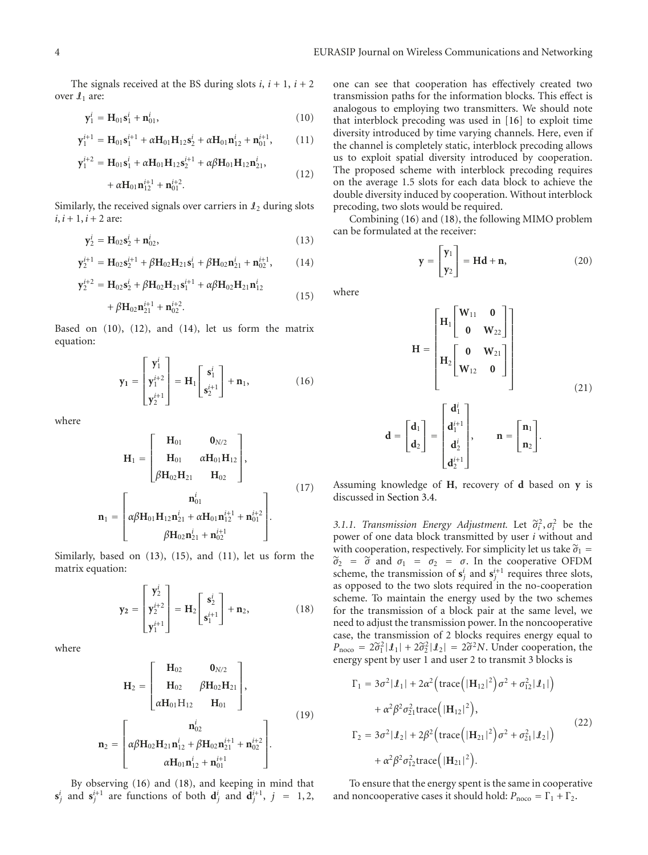The signals received at the BS during slots  $i$ ,  $i + 1$ ,  $i + 2$ over  $\mathcal{I}_1$  are:

$$
\mathbf{y}_1^i = \mathbf{H}_{01} \mathbf{s}_1^i + \mathbf{n}_{01}^i, \tag{10}
$$

$$
\mathbf{y}_{1}^{i+1} = \mathbf{H}_{01} \mathbf{s}_{1}^{i+1} + \alpha \mathbf{H}_{01} \mathbf{H}_{12} \mathbf{s}_{2}^{i} + \alpha \mathbf{H}_{01} \mathbf{n}_{12}^{i} + \mathbf{n}_{01}^{i+1}, \qquad (11)
$$

$$
\mathbf{y}_{1}^{i+2} = \mathbf{H}_{01}\mathbf{s}_{1}^{i} + \alpha \mathbf{H}_{01}\mathbf{H}_{12}\mathbf{s}_{2}^{i+1} + \alpha \beta \mathbf{H}_{01}\mathbf{H}_{12}\mathbf{n}_{21}^{i},
$$
\n(12)

$$
+\alpha\mathbf{H}_{01}\mathbf{n}_{12}^{i+1}+\mathbf{n}_{01}^{i+2}.
$$

Similarly, the received signals over carriers in  $\mathcal{L}_2$  during slots  $i, i + 1, i + 2$  are:

$$
y_2^i = H_{02} s_2^i + n_{02}^i, \tag{13}
$$

$$
\mathbf{y}_{2}^{i+1} = \mathbf{H}_{02} \mathbf{s}_{2}^{i+1} + \beta \mathbf{H}_{02} \mathbf{H}_{21} \mathbf{s}_{1}^{i} + \beta \mathbf{H}_{02} \mathbf{n}_{21}^{i} + \mathbf{n}_{02}^{i+1}, \qquad (14)
$$

$$
\mathbf{y}_{2}^{i+2} = \mathbf{H}_{02}\mathbf{s}_{2}^{i} + \beta\mathbf{H}_{02}\mathbf{H}_{21}\mathbf{s}_{1}^{i+1} + \alpha\beta\mathbf{H}_{02}\mathbf{H}_{21}\mathbf{n}_{12}^{i}
$$
\n(15)

$$
+\beta {\bf H}_{02}{\bf n}_{21}^{i+1}+{\bf n}_{02}^{i+2}.
$$

Based on (10), (12), and (14), let us form the matrix equation:

$$
\mathbf{y}_1 = \begin{bmatrix} \mathbf{y}_1^i \\ \mathbf{y}_1^{i+2} \\ \mathbf{y}_2^{i+1} \end{bmatrix} = \mathbf{H}_1 \begin{bmatrix} \mathbf{s}_1^i \\ \mathbf{s}_2^{i+1} \end{bmatrix} + \mathbf{n}_1,
$$
 (16)

where

$$
\mathbf{H}_{1} = \begin{bmatrix} \mathbf{H}_{01} & \mathbf{0}_{N/2} \\ \mathbf{H}_{01} & \alpha \mathbf{H}_{01} \mathbf{H}_{12} \\ \beta \mathbf{H}_{02} \mathbf{H}_{21} & \mathbf{H}_{02} \end{bmatrix},
$$
\n
$$
\mathbf{n}_{1} = \begin{bmatrix} \mathbf{n}_{01}^{i} \\ \alpha \beta \mathbf{H}_{01} \mathbf{H}_{12} \mathbf{n}_{21}^{i} + \alpha \mathbf{H}_{01} \mathbf{n}_{12}^{i+1} + \mathbf{n}_{01}^{i+2} \\ \beta \mathbf{H}_{02} \mathbf{n}_{21}^{i} + \mathbf{n}_{02}^{i+1} \end{bmatrix}.
$$
\n(17)

Similarly, based on (13), (15), and (11), let us form the matrix equation:

$$
\mathbf{y}_2 = \begin{bmatrix} \mathbf{y}_2^i \\ \mathbf{y}_2^{i+2} \\ \mathbf{y}_1^{i+1} \end{bmatrix} = \mathbf{H}_2 \begin{bmatrix} \mathbf{s}_2^i \\ \mathbf{s}_1^{i+1} \end{bmatrix} + \mathbf{n}_2, \tag{18}
$$

where

$$
\mathbf{H}_{2} = \begin{bmatrix} \mathbf{H}_{02} & \mathbf{0}_{N/2} \\ \mathbf{H}_{02} & \beta \mathbf{H}_{02} \mathbf{H}_{21} \\ \alpha \mathbf{H}_{01} \mathbf{H}_{12} & \mathbf{H}_{01} \end{bmatrix},
$$
\n
$$
\mathbf{n}_{2} = \begin{bmatrix} \mathbf{n}_{02}^{i} \\ \alpha \beta \mathbf{H}_{02} \mathbf{H}_{21} \mathbf{n}_{12}^{i} + \beta \mathbf{H}_{02} \mathbf{n}_{21}^{i+1} + \mathbf{n}_{02}^{i+2} \\ \alpha \mathbf{H}_{01} \mathbf{n}_{12}^{i} + \mathbf{n}_{01}^{i+1} \end{bmatrix}.
$$
\n(19)

By observing (16) and (18), and keeping in mind that  $\mathbf{s}_j^i$  and  $\mathbf{s}_j^{i+1}$  are functions of both  $\mathbf{d}_j^i$  and  $\mathbf{d}_j^{i+1}$ ,  $j = 1, 2$ ,

one can see that cooperation has effectively created two transmission paths for the information blocks. This effect is analogous to employing two transmitters. We should note that interblock precoding was used in [16] to exploit time diversity introduced by time varying channels. Here, even if the channel is completely static, interblock precoding allows us to exploit spatial diversity introduced by cooperation. The proposed scheme with interblock precoding requires on the average 1.5 slots for each data block to achieve the double diversity induced by cooperation. Without interblock precoding, two slots would be required.

Combining (16) and (18), the following MIMO problem can be formulated at the receiver:

$$
\mathbf{y} = \begin{bmatrix} \mathbf{y}_1 \\ \mathbf{y}_2 \end{bmatrix} = \mathbf{H}\mathbf{d} + \mathbf{n},\tag{20}
$$

where

$$
\mathbf{H} = \begin{bmatrix} \mathbf{H}_1 \begin{bmatrix} \mathbf{W}_{11} & \mathbf{0} \\ \mathbf{0} & \mathbf{W}_{22} \end{bmatrix} \\ \mathbf{H}_2 \begin{bmatrix} \mathbf{0} & \mathbf{W}_{21} \\ \mathbf{W}_{12} & \mathbf{0} \end{bmatrix} \end{bmatrix}
$$
\n
$$
\mathbf{d} = \begin{bmatrix} \mathbf{d}_1 \\ \mathbf{d}_2 \end{bmatrix} = \begin{bmatrix} \mathbf{d}_1^i \\ \mathbf{d}_2^i \\ \mathbf{d}_2^i \end{bmatrix}, \qquad \mathbf{n} = \begin{bmatrix} \mathbf{n}_1 \\ \mathbf{n}_2 \end{bmatrix}.
$$
\n(21)

Assuming knowledge of **H**, recovery of **d** based on **y** is discussed in Section 3.4.

 $d_2^{i+1}$ 

*3.1.1. Transmission Energy Adjustment.* Let  $\tilde{\sigma}_i^2, \sigma_i^2$  be the power of one data block transmitted by user *i* without and power of one data block transmitted by user *i* without and with cooperation, respectively. For simplicity let us take  $\tilde{\sigma}_1$  =  $\tilde{\sigma}_2$  =  $\tilde{\sigma}$  and  $\sigma_1$  =  $\sigma_2$  =  $\sigma$ . In the cooperative OFDM scheme, the transmission of  $s_j^i$  and  $s_j^{i+1}$  requires three slots, as opposed to the two slots required in the no-cooperation scheme. To maintain the energy used by the two schemes for the transmission of a block pair at the same level, we need to adjust the transmission power. In the noncooperative case, the transmission of 2 blocks requires energy equal to  $P_{\text{noco}} = 2\tilde{\sigma}_1^2 |\mathcal{I}_1| + 2\tilde{\sigma}_2^2 |\mathcal{I}_2| = 2\tilde{\sigma}^2 N$ . Under cooperation, the energy spent by user 1 and user 2 to transmit 3 blocks is

$$
\Gamma_1 = 3\sigma^2 |\mathbf{I}_1| + 2\alpha^2 \left( \text{trace} \left( |\mathbf{H}_{12}|^2 \right) \sigma^2 + \sigma_{12}^2 |\mathbf{I}_1| \right) \n+ \alpha^2 \beta^2 \sigma_{21}^2 \text{trace} \left( |\mathbf{H}_{12}|^2 \right), \n\Gamma_2 = 3\sigma^2 |\mathbf{I}_2| + 2\beta^2 \left( \text{trace} \left( |\mathbf{H}_{21}|^2 \right) \sigma^2 + \sigma_{21}^2 |\mathbf{I}_2| \right) \n+ \alpha^2 \beta^2 \sigma_{12}^2 \text{trace} \left( |\mathbf{H}_{21}|^2 \right).
$$
\n(22)

To ensure that the energy spent is the same in cooperative and noncooperative cases it should hold:  $P_{\text{noco}} = \Gamma_1 + \Gamma_2$ .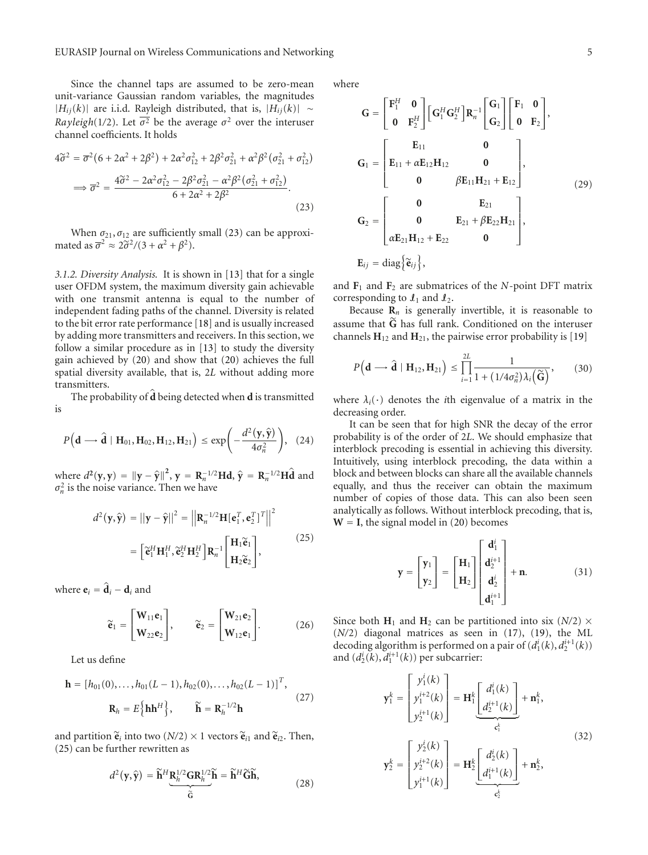Since the channel taps are assumed to be zero-mean unit-variance Gaussian random variables, the magnitudes |*Hij*(*k*)| are i.i.d. Rayleigh distributed, that is, |*Hij*(*k*)| ∼ *Rayleigh*(1/2). Let  $\overline{\sigma^2}$  be the average  $\sigma^2$  over the interuser channel coefficients. It holds

$$
4\tilde{\sigma}^2 = \overline{\sigma}^2 (6 + 2\alpha^2 + 2\beta^2) + 2\alpha^2 \sigma_{12}^2 + 2\beta^2 \sigma_{21}^2 + \alpha^2 \beta^2 (\sigma_{21}^2 + \sigma_{12}^2)
$$
  

$$
\implies \overline{\sigma}^2 = \frac{4\tilde{\sigma}^2 - 2\alpha^2 \sigma_{12}^2 - 2\beta^2 \sigma_{21}^2 - \alpha^2 \beta^2 (\sigma_{21}^2 + \sigma_{12}^2)}{6 + 2\alpha^2 + 2\beta^2}.
$$
(23)

When  $\sigma_{21}, \sigma_{12}$  are sufficiently small (23) can be approximated as  $\overline{\sigma}^2 \approx 2\tilde{\sigma}^2/(3 + \alpha^2 + \beta^2)$ .

*3.1.2. Diversity Analysis.* It is shown in [13] that for a single user OFDM system, the maximum diversity gain achievable with one transmit antenna is equal to the number of independent fading paths of the channel. Diversity is related to the bit error rate performance [18] and is usually increased by adding more transmitters and receivers. In this section, we follow a similar procedure as in [13] to study the diversity gain achieved by (20) and show that (20) achieves the full spatial diversity available, that is, 2*L* without adding more transmitters.

The probability of **d** being detected when **d** is transmitted is

$$
P\Big(\mathbf{d}\longrightarrow \widehat{\mathbf{d}}\mid\mathbf{H}_{01},\mathbf{H}_{02},\mathbf{H}_{12},\mathbf{H}_{21}\Big)\leq \exp\Biggl(-\frac{d^2\bigl(\mathbf{y},\widehat{\mathbf{y}}\bigr)}{4\sigma_n^2}\Biggr),\quad (24)
$$

where  $d^2(y, y) = ||y - \hat{y}||^2$ ,  $y = \mathbf{R}_n^{-1/2} \mathbf{H} \mathbf{d}$ ,  $\hat{y} = \mathbf{R}_n^{-1/2} \mathbf{H} \hat{\mathbf{d}}$  and  $\sigma^2$  is the noise variance. Then we have  $\sigma_n^2$  is the noise variance. Then we have

$$
d^{2}(\mathbf{y}, \hat{\mathbf{y}}) = ||\mathbf{y} - \hat{\mathbf{y}}||^{2} = \left\| \mathbf{R}_{n}^{-1/2} \mathbf{H}[\mathbf{e}_{1}^{T}, \mathbf{e}_{2}^{T}]^{T} \right\|^{2}
$$

$$
= \left[ \tilde{\mathbf{e}}_{1}^{H} \mathbf{H}_{1}^{H}, \tilde{\mathbf{e}}_{2}^{H} \mathbf{H}_{2}^{H} \right] \mathbf{R}_{n}^{-1} \left[ \begin{array}{c} \mathbf{H}_{1} \tilde{\mathbf{e}}_{1} \\ \mathbf{H}_{2} \tilde{\mathbf{e}}_{2} \end{array} \right], \tag{25}
$$

where  $\mathbf{e}_i = \hat{\mathbf{d}}_i - \mathbf{d}_i$  and

$$
\widetilde{\mathbf{e}}_1 = \begin{bmatrix} \mathbf{W}_{11} \mathbf{e}_1 \\ \mathbf{W}_{22} \mathbf{e}_2 \end{bmatrix}, \qquad \widetilde{\mathbf{e}}_2 = \begin{bmatrix} \mathbf{W}_{21} \mathbf{e}_2 \\ \mathbf{W}_{12} \mathbf{e}_1 \end{bmatrix}. \tag{26}
$$

Let us define

$$
\mathbf{h} = [h_{01}(0), \dots, h_{01}(L-1), h_{02}(0), \dots, h_{02}(L-1)]^{T},
$$
  

$$
\mathbf{R}_{h} = E\{\mathbf{h}\mathbf{h}^{H}\}, \qquad \widetilde{\mathbf{h}} = \mathbf{R}_{h}^{-1/2}\mathbf{h}
$$
 (27)

and partition  $\tilde{\mathbf{e}}_i$  into two  $(N/2) \times 1$  vectors  $\tilde{\mathbf{e}}_{i1}$  and  $\tilde{\mathbf{e}}_{i2}$ . Then, (25) can be further rewritten as

$$
d^{2}(\mathbf{y}, \hat{\mathbf{y}}) = \widetilde{\mathbf{h}}^{H} \underbrace{\mathbf{R}_{h}^{1/2} \mathbf{G} \mathbf{R}_{h}^{1/2} \widetilde{\mathbf{h}}}_{\widetilde{\mathbf{G}}} = \widetilde{\mathbf{h}}^{H} \widetilde{\mathbf{G}} \widetilde{\mathbf{h}},
$$
\n(28)

where

$$
G = \begin{bmatrix} F_1^H & 0 \\ 0 & F_2^H \end{bmatrix} \begin{bmatrix} G_1^H G_2^H \end{bmatrix} R_n^{-1} \begin{bmatrix} G_1 \\ G_2 \end{bmatrix} \begin{bmatrix} F_1 & 0 \\ 0 & F_2 \end{bmatrix},
$$
  
\n
$$
G_1 = \begin{bmatrix} E_{11} & 0 \\ E_{11} + \alpha E_{12} H_{12} & 0 \\ 0 & \beta E_{11} H_{21} + E_{12} \end{bmatrix},
$$
  
\n
$$
G_2 = \begin{bmatrix} 0 & E_{21} \\ 0 & E_{21} + \beta E_{22} H_{21} \\ \alpha E_{21} H_{12} + E_{22} & 0 \end{bmatrix},
$$
  
\n
$$
E_{ij} = \text{diag} \{ \tilde{\mathbf{e}}_{ij} \},
$$

and  $\mathbf{F}_1$  and  $\mathbf{F}_2$  are submatrices of the *N*-point DFT matrix corresponding to  $\mathcal{I}_1$  and  $\mathcal{I}_2$ .

Because  $\mathbf{R}_n$  is generally invertible, it is reasonable to assume that **<sup>G</sup>** has full rank. Conditioned on the interuser channels  $H_{12}$  and  $H_{21}$ , the pairwise error probability is [19]

$$
P\left(\mathbf{d} \longrightarrow \hat{\mathbf{d}} \mid \mathbf{H}_{12}, \mathbf{H}_{21}\right) \leq \prod_{i=1}^{2L} \frac{1}{1 + \left(1/4\sigma_n^2\right)\lambda_i\left(\widetilde{\mathbf{G}}\right)},\qquad(30)
$$

where  $\lambda_i(\cdot)$  denotes the *i*th eigenvalue of a matrix in the decreasing order.

It can be seen that for high SNR the decay of the error probability is of the order of 2*L*. We should emphasize that interblock precoding is essential in achieving this diversity. Intuitively, using interblock precoding, the data within a block and between blocks can share all the available channels equally, and thus the receiver can obtain the maximum number of copies of those data. This can also been seen analytically as follows. Without interblock precoding, that is,  $W = I$ , the signal model in (20) becomes

$$
\mathbf{y} = \begin{bmatrix} \mathbf{y}_1 \\ \mathbf{y}_2 \end{bmatrix} = \begin{bmatrix} \mathbf{H}_1 \\ \mathbf{H}_2 \end{bmatrix} \begin{bmatrix} \mathbf{d}_1^i \\ \mathbf{d}_2^{i+1} \\ \mathbf{d}_2^i \\ \mathbf{d}_1^{i+1} \end{bmatrix} + \mathbf{n}.
$$
 (31)

Since both  $H_1$  and  $H_2$  can be partitioned into six (*N*/2)  $\times$ (*N/*2) diagonal matrices as seen in (17), (19), the ML decoding algorithm is performed on a pair of  $(d_1^i(k), d_2^{i+1}(k))$ and  $(d_2^i(k), d_1^{i+1}(k))$  per subcarrier:

$$
\mathbf{y}_{1}^{k} = \begin{bmatrix} y_{1}^{i}(k) \\ y_{1}^{i+2}(k) \\ y_{2}^{i+1}(k) \end{bmatrix} = \mathbf{H}_{1}^{k} \underbrace{\begin{bmatrix} d_{1}^{i}(k) \\ d_{2}^{i+1}(k) \end{bmatrix}}_{\epsilon_{1}^{k}} + \mathbf{n}_{1}^{k},
$$
\n
$$
\mathbf{y}_{2}^{k} = \begin{bmatrix} y_{2}^{i}(k) \\ y_{2}^{i+2}(k) \\ y_{1}^{i+1}(k) \end{bmatrix} = \mathbf{H}_{2}^{k} \underbrace{\begin{bmatrix} d_{2}^{i}(k) \\ d_{1}^{i+1}(k) \end{bmatrix}}_{\epsilon_{2}^{k}} + \mathbf{n}_{2}^{k},
$$
\n(32)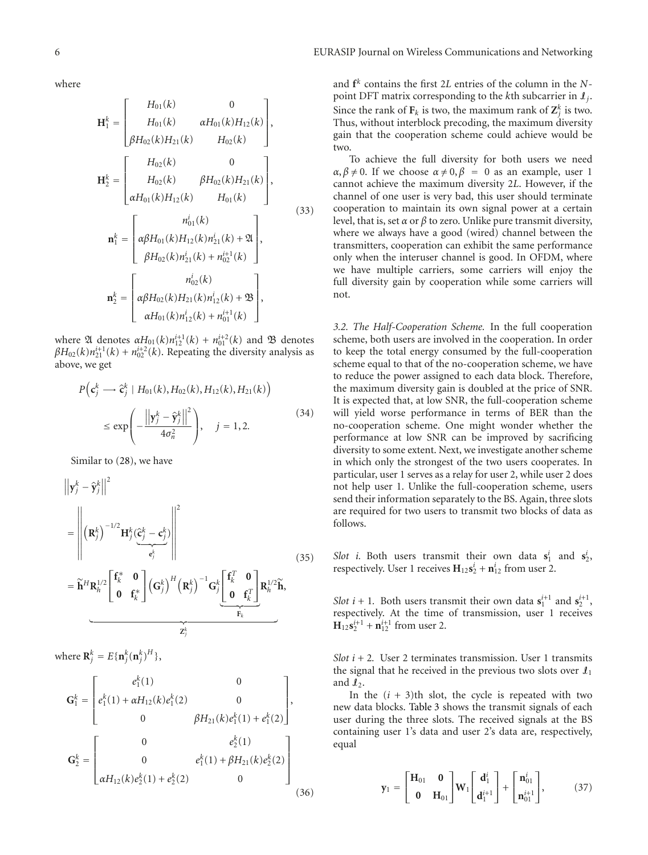where

$$
\mathbf{H}_{1}^{k} = \begin{bmatrix} H_{01}(k) & 0 \\ H_{01}(k) & \alpha H_{01}(k)H_{12}(k) \\ \beta H_{02}(k)H_{21}(k) & H_{02}(k) \end{bmatrix},
$$

$$
\mathbf{H}_{2}^{k} = \begin{bmatrix} H_{02}(k) & 0 \\ H_{02}(k) & \beta H_{02}(k)H_{21}(k) \\ \alpha H_{01}(k)H_{12}(k) & H_{01}(k) \end{bmatrix},
$$

$$
\mathbf{n}_{1}^{k} = \begin{bmatrix} n_{01}^{i}(k) \\ \alpha \beta H_{01}(k)H_{12}(k)n_{21}^{i}(k) + \mathfrak{A} \\ \beta H_{02}(k)n_{21}^{i}(k) + n_{02}^{i+1}(k) \end{bmatrix},
$$

$$
\mathbf{n}_{2}^{k} = \begin{bmatrix} n_{02}^{i}(k) \\ \alpha \beta H_{02}(k)H_{21}(k)n_{12}^{i}(k) + \mathfrak{B} \\ \alpha H_{01}(k)n_{12}^{i}(k) + n_{01}^{i+1}(k) \end{bmatrix},
$$
(33)

where  $\mathfrak A$  denotes  $\alpha H_{01}(k)n_{12}^{i+1}(k) + n_{01}^{i+2}(k)$  and  $\mathfrak B$  denotes  $\beta H_{02}(k)n_{21}^{i+1}(k) + n_{02}^{i+2}(k)$ . Repeating the diversity analysis as above, we get

$$
P\left(\mathbf{c}_j^k \longrightarrow \hat{\mathbf{c}}_j^k \mid H_{01}(k), H_{02}(k), H_{12}(k), H_{21}(k)\right)
$$
  

$$
\le \exp\left(-\frac{\left|\left|\mathbf{y}_j^k - \hat{\mathbf{y}}_j^k\right|\right|^2}{4\sigma_n^2}\right), \quad j = 1, 2. \tag{34}
$$

Similar to (28), we have

$$
\left\| \mathbf{y}_{j}^{k} - \hat{\mathbf{y}}_{j}^{k} \right\|^{2}
$$
\n
$$
= \left\| \left( \mathbf{R}_{j}^{k} \right)^{-1/2} \mathbf{H}_{j}^{k} (\underbrace{\hat{\mathbf{C}}_{j}^{k} - \mathbf{c}_{j}^{k}}_{\mathbf{c}_{j}^{k}}) \right\|^{2}
$$
\n
$$
= \widetilde{\mathbf{h}}^{H} \mathbf{R}_{h}^{1/2} \left[ \mathbf{f}_{k}^{*} \quad \mathbf{0} \atop \mathbf{0} \quad \mathbf{f}_{k}^{*} \right] \left( \mathbf{G}_{j}^{k} \right)^{H} \left( \mathbf{R}_{j}^{k} \right)^{-1} \mathbf{G}_{j}^{k} \underbrace{\left[ \mathbf{f}_{k}^{T} \quad \mathbf{0} \atop \mathbf{0} \quad \mathbf{f}_{k}^{T} \right]}_{\mathbf{F}_{k}} \mathbf{R}_{h}^{1/2} \widetilde{\mathbf{h}},
$$
\n(35)

where  $\mathbf{R}_j^k = E\{\mathbf{n}_j^k(\mathbf{n}_j^k)^H\},$ 

$$
\mathbf{G}_{1}^{k} = \begin{bmatrix} e_{1}^{k}(1) & 0 \\ e_{1}^{k}(1) + \alpha H_{12}(k)e_{1}^{k}(2) & 0 \\ 0 & \beta H_{21}(k)e_{1}^{k}(1) + e_{1}^{k}(2) \end{bmatrix},
$$

$$
\mathbf{G}_{2}^{k} = \begin{bmatrix} 0 & e_{2}^{k}(1) \\ 0 & e_{1}^{k}(1) + \beta H_{21}(k)e_{2}^{k}(2) \\ \alpha H_{12}(k)e_{2}^{k}(1) + e_{2}^{k}(2) & 0 \end{bmatrix}
$$
(36)

and **f***<sup>k</sup>* contains the first 2*L* entries of the column in the *N*point DFT matrix corresponding to the *k*th subcarrier in  $I_i$ . Since the rank of  $\mathbf{F}_k$  is two, the maximum rank of  $\mathbf{Z}_j^k$  is two. Thus, without interblock precoding, the maximum diversity gain that the cooperation scheme could achieve would be two.

To achieve the full diversity for both users we need *α*, *β* ≠ 0. If we choose  $α ≠ 0$ ,  $β = 0$  as an example, user 1 cannot achieve the maximum diversity 2*L*. However, if the channel of one user is very bad, this user should terminate cooperation to maintain its own signal power at a certain level, that is, set *α* or *β* to zero. Unlike pure transmit diversity, where we always have a good (wired) channel between the transmitters, cooperation can exhibit the same performance only when the interuser channel is good. In OFDM, where we have multiple carriers, some carriers will enjoy the full diversity gain by cooperation while some carriers will not.

*3.2. The Half-Cooperation Scheme.* In the full cooperation scheme, both users are involved in the cooperation. In order to keep the total energy consumed by the full-cooperation scheme equal to that of the no-cooperation scheme, we have to reduce the power assigned to each data block. Therefore, the maximum diversity gain is doubled at the price of SNR. It is expected that, at low SNR, the full-cooperation scheme will yield worse performance in terms of BER than the no-cooperation scheme. One might wonder whether the performance at low SNR can be improved by sacrificing diversity to some extent. Next, we investigate another scheme in which only the strongest of the two users cooperates. In particular, user 1 serves as a relay for user 2, while user 2 does not help user 1. Unlike the full-cooperation scheme, users send their information separately to the BS. Again, three slots are required for two users to transmit two blocks of data as follows.

*Slot i*. Both users transmit their own data  $s_1^i$  and  $s_2^i$ , respectively. User 1 receives  $H_{12}s_2^i + n_{12}^i$  from user 2.

*Slot*  $i + 1$ . Both users transmit their own data  $\mathbf{s}_1^{i+1}$  and  $\mathbf{s}_2^{i+1}$ , respectively. At the time of transmission, user 1 receives  $\mathbf{H}_{12}\mathbf{s}_{2}^{i+1} + \mathbf{n}_{12}^{i+1}$  from user 2.

*Slot*  $i + 2$ . User 2 terminates transmission. User 1 transmits the signal that he received in the previous two slots over  $\mathcal{I}_1$ and  $\mathfrak{c}_2$ .

In the  $(i + 3)$ th slot, the cycle is repeated with two new data blocks. Table 3 shows the transmit signals of each user during the three slots. The received signals at the BS containing user 1's data and user 2's data are, respectively, equal

$$
\mathbf{y}_1 = \begin{bmatrix} \mathbf{H}_{01} & \mathbf{0} \\ \mathbf{0} & \mathbf{H}_{01} \end{bmatrix} \mathbf{W}_1 \begin{bmatrix} \mathbf{d}_1^i \\ \mathbf{d}_1^{i+1} \end{bmatrix} + \begin{bmatrix} \mathbf{n}_{01}^i \\ \mathbf{n}_{01}^{i+1} \end{bmatrix},
$$
(37)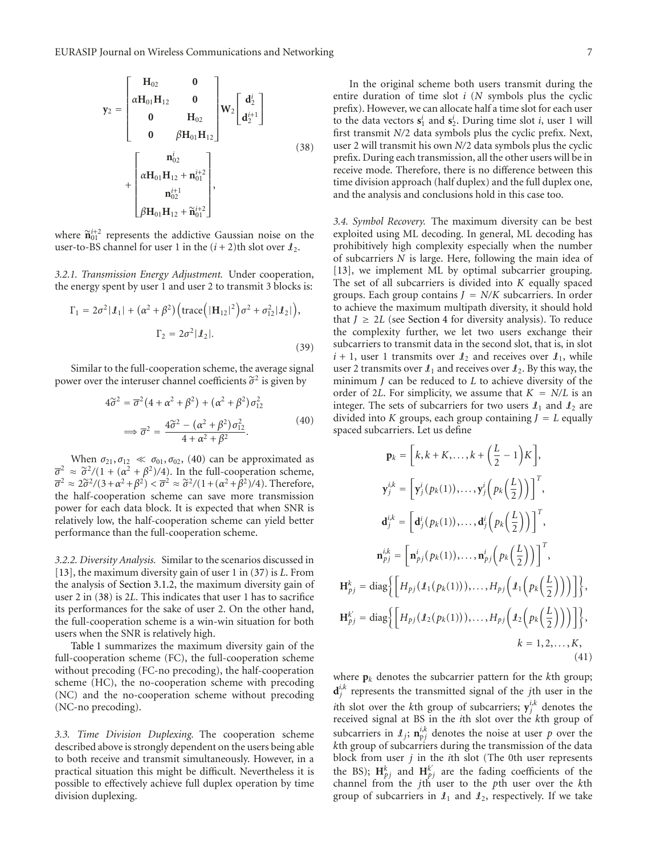$$
y_{2} = \begin{bmatrix} H_{02} & 0 \\ \alpha H_{01}H_{12} & 0 \\ 0 & H_{02} \\ 0 & \beta H_{01}H_{12} \end{bmatrix} W_{2} \begin{bmatrix} d_{2}^{i} \\ d_{2}^{i+1} \end{bmatrix} + \begin{bmatrix} \alpha H_{01}H_{12} + n_{01}^{i+2} \\ \alpha H_{01}H_{12} + n_{01}^{i+2} \\ n_{02}^{i+1} \\ \beta H_{01}H_{12} + \tilde{n}_{01}^{i+2} \end{bmatrix},
$$
\n(38)

where  $\tilde{\mathbf{n}}_{01}^{i+2}$  represents the addictive Gaussian noise on the user to BS channel for user 1 in the  $(i+2)$ <sup>th</sup> slot over the user-to-BS channel for user 1 in the  $(i + 2)$ th slot over  $\mathcal{I}_2$ .

*3.2.1. Transmission Energy Adjustment.* Under cooperation, the energy spent by user 1 and user 2 to transmit 3 blocks is:

$$
\Gamma_1 = 2\sigma^2 |\mathcal{I}_1| + (\alpha^2 + \beta^2) \left( \text{trace} \left( |\mathbf{H}_{12}|^2 \right) \sigma^2 + \sigma_{12}^2 |\mathcal{I}_2| \right),
$$

$$
\Gamma_2 = 2\sigma^2 |\mathcal{I}_2|.
$$
(39)

Similar to the full-cooperation scheme, the average signal power over the interuser channel coefficients  $\tilde{\sigma}^2$  is given by

$$
4\tilde{\sigma}^2 = \overline{\sigma}^2 (4 + \alpha^2 + \beta^2) + (\alpha^2 + \beta^2) \sigma_{12}^2
$$
  

$$
\implies \overline{\sigma}^2 = \frac{4\tilde{\sigma}^2 - (\alpha^2 + \beta^2) \sigma_{12}^2}{4 + \alpha^2 + \beta^2}.
$$
 (40)

When  $\sigma_{21}, \sigma_{12} \ll \sigma_{01}, \sigma_{02}, (40)$  can be approximated as  $\overline{\sigma}^2 \approx \tilde{\sigma}^2/(1 + (\alpha^2 + \beta^2)/4)$ . In the full-cooperation scheme,  $\overline{\sigma}^2 \approx 2\tilde{\sigma}^2/(3+\alpha^2+\beta^2) < \overline{\sigma}^2 \approx \tilde{\sigma}^2/(1+(\alpha^2+\beta^2)/4)$ . Therefore, the half-cooperation scheme can save more transmission power for each data block. It is expected that when SNR is relatively low, the half-cooperation scheme can yield better performance than the full-cooperation scheme.

*3.2.2. Diversity Analysis.* Similar to the scenarios discussed in [13], the maximum diversity gain of user 1 in (37) is *L*. From the analysis of Section 3.1.2, the maximum diversity gain of user 2 in (38) is 2*L*. This indicates that user 1 has to sacrifice its performances for the sake of user 2. On the other hand, the full-cooperation scheme is a win-win situation for both users when the SNR is relatively high.

Table 1 summarizes the maximum diversity gain of the full-cooperation scheme (FC), the full-cooperation scheme without precoding (FC-no precoding), the half-cooperation scheme (HC), the no-cooperation scheme with precoding (NC) and the no-cooperation scheme without precoding (NC-no precoding).

*3.3. Time Division Duplexing.* The cooperation scheme described above is strongly dependent on the users being able to both receive and transmit simultaneously. However, in a practical situation this might be difficult. Nevertheless it is possible to effectively achieve full duplex operation by time division duplexing.

In the original scheme both users transmit during the entire duration of time slot *i* (*N* symbols plus the cyclic prefix). However, we can allocate half a time slot for each user to the data vectors  $\mathbf{s}_1^i$  and  $\mathbf{s}_2^i$ . During time slot *i*, user 1 will first transmit *N/*2 data symbols plus the cyclic prefix. Next, user 2 will transmit his own *N/*2 data symbols plus the cyclic prefix. During each transmission, all the other users will be in receive mode. Therefore, there is no difference between this time division approach (half duplex) and the full duplex one, and the analysis and conclusions hold in this case too.

*3.4. Symbol Recovery.* The maximum diversity can be best exploited using ML decoding. In general, ML decoding has prohibitively high complexity especially when the number of subcarriers *N* is large. Here, following the main idea of [13], we implement ML by optimal subcarrier grouping. The set of all subcarriers is divided into *K* equally spaced groups. Each group contains  $J = N/K$  subcarriers. In order to achieve the maximum multipath diversity, it should hold that  $J \geq 2L$  (see Section 4 for diversity analysis). To reduce the complexity further, we let two users exchange their subcarriers to transmit data in the second slot, that is, in slot  $i + 1$ , user 1 transmits over  $\mathcal{L}_2$  and receives over  $\mathcal{L}_1$ , while user 2 transmits over  $\mathcal{L}_1$  and receives over  $\mathcal{L}_2$ . By this way, the minimum *J* can be reduced to *L* to achieve diversity of the order of 2*L*. For simplicity, we assume that  $K = N/L$  is an integer. The sets of subcarriers for two users  $\mathcal{L}_1$  and  $\mathcal{L}_2$  are divided into *K* groups, each group containing  $J = L$  equally spaced subcarriers. Let us define

$$
\mathbf{p}_{k} = \left[k, k+K, \dots, k+\left(\frac{L}{2}-1\right)K\right],
$$
\n
$$
\mathbf{y}_{j}^{i,k} = \left[\mathbf{y}_{j}^{i}(p_{k}(1)), \dots, \mathbf{y}_{j}^{i}\left(p_{k}\left(\frac{L}{2}\right)\right)\right]^{T},
$$
\n
$$
\mathbf{d}_{j}^{i,k} = \left[\mathbf{d}_{j}^{i}(p_{k}(1)), \dots, \mathbf{d}_{j}^{i}\left(p_{k}\left(\frac{L}{2}\right)\right)\right]^{T},
$$
\n
$$
\mathbf{n}_{pj}^{i,k} = \left[\mathbf{n}_{pj}^{i}(p_{k}(1)), \dots, \mathbf{n}_{pj}^{i}\left(p_{k}\left(\frac{L}{2}\right)\right)\right]^{T},
$$
\n
$$
\mathbf{H}_{pj}^{k} = \text{diag}\left\{\left[H_{pj}(L_{1}(p_{k}(1))), \dots, H_{pj}\left(\mathbf{I}_{1}\left(p_{k}\left(\frac{L}{2}\right)\right)\right)\right]\right\},
$$
\n
$$
\mathbf{H}_{pj}^{k'} = \text{diag}\left\{\left[H_{pj}(L_{2}(p_{k}(1))), \dots, H_{pj}\left(\mathbf{I}_{2}\left(p_{k}\left(\frac{L}{2}\right)\right)\right)\right]\right\},
$$
\n
$$
k = 1, 2, \dots, K,
$$
\n(41)

 $H'$ <sub>k</sub>

where  $p_k$  denotes the subcarrier pattern for the *k*th group;  $\mathbf{d}^{i,k}_j$  represents the transmitted signal of the *j*th user in the *i*th slot over the *k*<sup>th</sup> group of subcarriers;  $y_j^{i,k}$  denotes the received signal at BS in the *i*th slot over the *k*th group of subcarriers in  $I_j$ ;  $\mathbf{n}_{p}^{i,k}$  denotes the noise at user *p* over the *k*th group of subcarriers during the transmission of the data block from user *j* in the *i*th slot (The 0th user represents the BS);  $\mathbf{H}_{pj}^{k}$  and  $\mathbf{H}_{pj}^{k'}$  are the fading coefficients of the channel from the *j*th user to the *p*th user over the *k*th group of subcarriers in  $\mathcal{I}_1$  and  $\mathcal{I}_2$ , respectively. If we take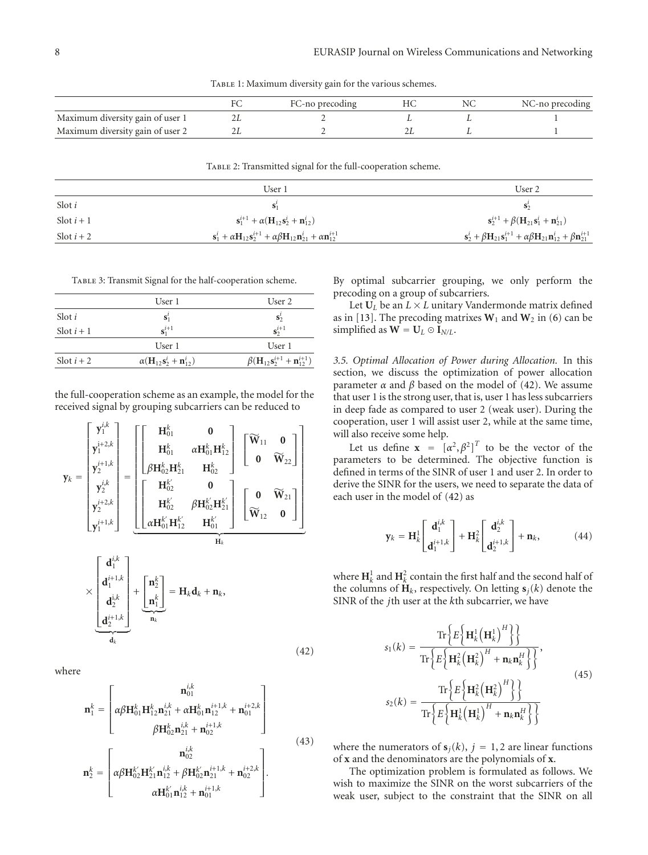TABLE 1: Maximum diversity gain for the various schemes.

|                                  | FC-no precoding |  | NC-no precoding |
|----------------------------------|-----------------|--|-----------------|
| Maximum diversity gain of user 1 |                 |  |                 |
| Maximum diversity gain of user 2 |                 |  |                 |

TABLE 2: Transmitted signal for the full-cooperation scheme.

|            | User 1                                                                                                                     | User 2                                                                                                                   |  |
|------------|----------------------------------------------------------------------------------------------------------------------------|--------------------------------------------------------------------------------------------------------------------------|--|
| Slot $i$   | $S_1'$                                                                                                                     | $S^{\prime}_{2}$                                                                                                         |  |
| Slot $i+1$ | $s_1^{i+1} + \alpha (H_{12} s_2^i + n_{12}^i)$                                                                             | ${\bf s}_2^{i+1} + \beta({\bf H}_{21}{\bf s}_1^i + {\bf n}_{21}^i)$                                                      |  |
| Slot $i+2$ | ${\bf s}_1^i + \alpha {\bf H}_{12} {\bf s}_2^{i+1} + \alpha \beta {\bf H}_{12} {\bf n}_{21}^i + \alpha {\bf n}_{12}^{i+1}$ | ${\bf s}_2^i + \beta {\bf H}_{21} {\bf s}_1^{i+1} + \alpha \beta {\bf H}_{21} {\bf n}_{12}^i + \beta {\bf n}_{21}^{i+1}$ |  |

TABLE 3: Transmit Signal for the half-cooperation scheme.

|               | User 1                           | User 2                                                              |
|---------------|----------------------------------|---------------------------------------------------------------------|
| Slot <i>i</i> | $S_1^l$                          | $S^1_2$                                                             |
| Slot $i+1$    | $s^{i+1}$                        | $s^{i+1}$                                                           |
|               | User 1                           | User 1                                                              |
| Slot $i+2$    | $\alpha(H_{12}s_2^i + n_{12}^i)$ | $\beta(\mathbf{H}_{12} \mathbf{s}_2^{i+1} + \mathbf{n}_{12}^{i+1})$ |

the full-cooperation scheme as an example, the model for the received signal by grouping subcarriers can be reduced to

$$
\mathbf{y}_{k} = \begin{bmatrix} \mathbf{y}_{1}^{i,k} \\ \mathbf{y}_{1}^{i+2,k} \\ \mathbf{y}_{2}^{i+1,k} \\ \mathbf{y}_{2}^{i+2,k} \\ \mathbf{y}_{2}^{i+2,k} \\ \mathbf{y}_{1}^{i+3,k} \end{bmatrix} = \begin{bmatrix} \mathbf{H}_{01}^{k} & \mathbf{0} \\ \mathbf{H}_{01}^{k} & \alpha \mathbf{H}_{01}^{k} \mathbf{H}_{12}^{k} \\ \beta \mathbf{H}_{02}^{k} \mathbf{H}_{21}^{k} & \mathbf{H}_{02}^{k} \end{bmatrix} \begin{bmatrix} \widetilde{\mathbf{W}}_{11} & \mathbf{0} \\ \mathbf{0} & \widetilde{\mathbf{W}}_{22} \end{bmatrix}
$$

$$
\mathbf{y}_{k}^{i+2,k} = \begin{bmatrix} \mathbf{H}_{02}^{k'} & \mathbf{0} \\ \mathbf{H}_{02}^{k'} & \beta \mathbf{H}_{02}^{k'} \mathbf{H}_{21}^{k'} \\ \alpha \mathbf{H}_{01}^{k'} \mathbf{H}_{12}^{k'} & \mathbf{H}_{01}^{k'} \end{bmatrix} \begin{bmatrix} \mathbf{0} & \widetilde{\mathbf{W}}_{21} \\ \widetilde{\mathbf{W}}_{12} & \mathbf{0} \end{bmatrix}
$$

$$
\times \begin{bmatrix} \mathbf{d}_{1}^{i,k} \\ \mathbf{d}_{1}^{i+1,k} \\ \mathbf{d}_{2}^{i+1,k} \\ \mathbf{d}_{k}^{i+1,k} \end{bmatrix} + \begin{bmatrix} \mathbf{n}_{2}^{k} \\ \mathbf{n}_{1}^{k} \end{bmatrix} = \mathbf{H}_{k} \mathbf{d}_{k} + \mathbf{n}_{k}, \qquad (42)
$$

where

$$
\mathbf{n}_{1}^{k} = \begin{bmatrix} \mathbf{n}_{01}^{i,k} \\ \alpha\beta\mathbf{H}_{01}^{k}\mathbf{H}_{12}^{k}\mathbf{n}_{21}^{i,k} + \alpha\mathbf{H}_{01}^{k}\mathbf{n}_{12}^{i+1,k} + \mathbf{n}_{01}^{i+2,k} \\ \beta\mathbf{H}_{02}^{k}\mathbf{n}_{21}^{i,k} + \mathbf{n}_{02}^{i+1,k} \end{bmatrix}
$$
\n
$$
\mathbf{n}_{2}^{k} = \begin{bmatrix} \mathbf{n}_{02}^{i,k} \\ \alpha\beta\mathbf{H}_{02}^{k'}\mathbf{H}_{21}^{k'}\mathbf{n}_{12}^{i,k} + \beta\mathbf{H}_{02}^{k'}\mathbf{n}_{21}^{i+1,k} + \mathbf{n}_{02}^{i+2,k} \\ \alpha\mathbf{H}_{01}^{k'}\mathbf{n}_{12}^{i,k} + \mathbf{n}_{01}^{i+1,k} \end{bmatrix}.
$$
\n(43)

By optimal subcarrier grouping, we only perform the precoding on a group of subcarriers.

Let  $U_L$  be an  $L \times L$  unitary Vandermonde matrix defined as in [13]. The precoding matrixes  $W_1$  and  $W_2$  in (6) can be simplified as  $W = U_L \odot I_{N/L}$ .

*3.5. Optimal Allocation of Power during Allocation.* In this section, we discuss the optimization of power allocation parameter *α* and *β* based on the model of (42). We assume that user 1 is the strong user, that is, user 1 has less subcarriers in deep fade as compared to user 2 (weak user). During the cooperation, user 1 will assist user 2, while at the same time, will also receive some help.

Let us define  $\mathbf{x} = [\alpha^2, \beta^2]^T$  to be the vector of the parameters to be determined. The objective function is defined in terms of the SINR of user 1 and user 2. In order to derive the SINR for the users, we need to separate the data of each user in the model of (42) as

$$
\mathbf{y}_{k} = \mathbf{H}_{k}^{1} \begin{bmatrix} \mathbf{d}_{1}^{i,k} \\ \mathbf{d}_{1}^{i+1,k} \end{bmatrix} + \mathbf{H}_{k}^{2} \begin{bmatrix} \mathbf{d}_{2}^{i,k} \\ \mathbf{d}_{2}^{i+1,k} \end{bmatrix} + \mathbf{n}_{k}, \quad (44)
$$

where  $\mathbf{H}_k^1$  and  $\mathbf{H}_k^2$  contain the first half and the second half of the columns of  $\mathbf{H}_k$ , respectively. On letting  $\mathbf{s}_i(k)$  denote the SINR of the *j*th user at the *k*th subcarrier, we have

$$
s_1(k) = \frac{\operatorname{Tr}\left\{E\left\{\mathbf{H}_k^1\left(\mathbf{H}_k^1\right)^H\right\}\right\}}{\operatorname{Tr}\left\{E\left\{\mathbf{H}_k^2\left(\mathbf{H}_k^2\right)^H + \mathbf{n}_k \mathbf{n}_k^H\right\}\right\}},
$$
\n
$$
s_2(k) = \frac{\operatorname{Tr}\left\{E\left\{\mathbf{H}_k^2\left(\mathbf{H}_k^2\right)^H\right\}\right\}}{\operatorname{Tr}\left\{E\left\{\mathbf{H}_k^1\left(\mathbf{H}_k^1\right)^H + \mathbf{n}_k \mathbf{n}_k^H\right\}\right\}}
$$
\n(45)

where the numerators of  $s_j(k)$ ,  $j = 1, 2$  are linear functions of **x** and the denominators are the polynomials of **x**.

The optimization problem is formulated as follows. We wish to maximize the SINR on the worst subcarriers of the weak user, subject to the constraint that the SINR on all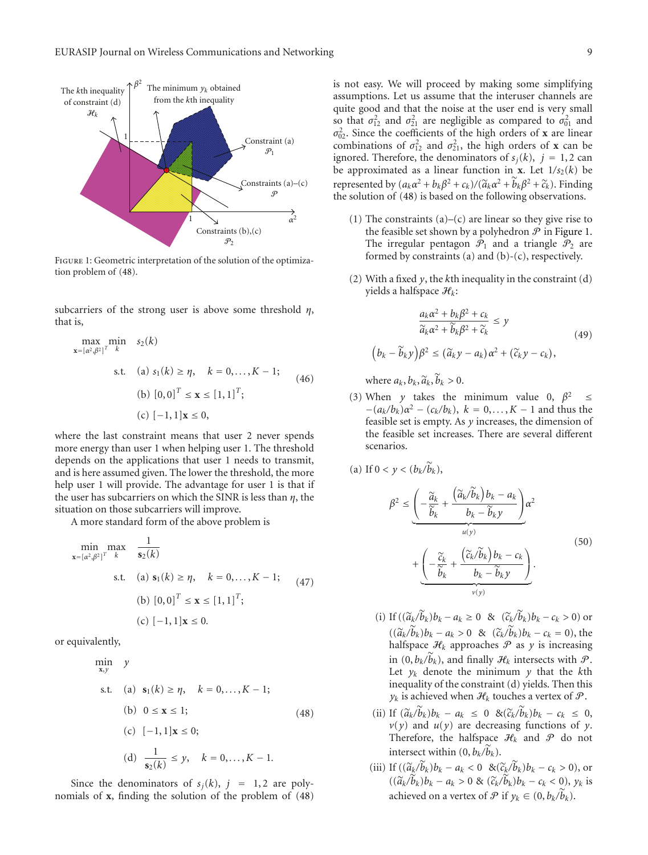

Figure 1: Geometric interpretation of the solution of the optimization problem of (48).

subcarriers of the strong user is above some threshold *η*, that is,

$$
\max_{\mathbf{x} = [a^2, \beta^2]^T} \min_{k} s_2(k)
$$
  
s.t. (a)  $s_1(k) \ge \eta, \quad k = 0, ..., K - 1;$  (46)  
(b)  $[0, 0]^T \le \mathbf{x} \le [1, 1]^T;$   
(c)  $[-1, 1] \mathbf{x} \le 0,$ 

where the last constraint means that user 2 never spends more energy than user 1 when helping user 1. The threshold depends on the applications that user 1 needs to transmit, and is here assumed given. The lower the threshold, the more help user 1 will provide. The advantage for user 1 is that if the user has subcarriers on which the SINR is less than *η*, the situation on those subcarriers will improve.

A more standard form of the above problem is

$$
\min_{\mathbf{x} = [\alpha^2, \beta^2]^T} \max_{k} \quad \frac{1}{\mathbf{s}_2(k)}
$$
\n
$$
\text{s.t.} \quad \text{(a) } \mathbf{s}_1(k) \ge \eta, \quad k = 0, \dots, K - 1; \quad \text{(47)}
$$
\n
$$
\text{(b) } [0, 0]^T \le \mathbf{x} \le [1, 1]^T; \quad \text{(c) } [-1, 1] \mathbf{x} \le 0.
$$

or equivalently,

 $\min_{\mathbf{x},\mathbf{y}}$  *y* s.t. (a)  $s_1(k) \ge \eta$ ,  $k = 0, ..., K - 1$ ; (b)  $0 \le x \le 1$ ;  $(c)$  [−1, 1]**x** ≤ 0; (d)  $\frac{1}{s_2(k)} \leq y, \quad k = 0, ..., K - 1.$ (48)

Since the denominators of  $s_i(k)$ ,  $j = 1, 2$  are polynomials of **x**, finding the solution of the problem of (48) is not easy. We will proceed by making some simplifying assumptions. Let us assume that the interuser channels are quite good and that the noise at the user end is very small so that  $\sigma_{12}^2$  and  $\sigma_{21}^2$  are negligible as compared to  $\sigma_{01}^2$  and  $\sigma_{02}^2$ . Since the coefficients of the high orders of **x** are linear combinations of  $\sigma_{12}^2$  and  $\sigma_{21}^2$ , the high orders of **x** can be ignored. Therefore, the denominators of  $s_j(k)$ ,  $j = 1, 2$  can be approximated as a linear function in **x**. Let  $1/s_2(k)$  be represented by  $(a_k \alpha^2 + b_k \beta^2 + c_k)/(a_k \alpha^2 + b_k \beta^2 + c_k)$ . Finding<br>the solution of (48) is based on the following observations the solution of (48) is based on the following observations.

- (1) The constraints  $(a)$ – $(c)$  are linear so they give rise to the feasible set shown by a polyhedron  $P$  in Figure 1. The irregular pentagon  $\mathcal{P}_1$  and a triangle  $\mathcal{P}_2$  are formed by constraints (a) and  $(b)-(c)$ , respectively.
- (2) With a fixed *y*, the *k*th inequality in the constraint (d) yields a halfspace H*k*:

$$
\frac{a_k \alpha^2 + b_k \beta^2 + c_k}{\widetilde{a}_k \alpha^2 + \widetilde{b}_k \beta^2 + \widetilde{c}_k} \le y
$$
\n
$$
\left(b_k - \widetilde{b}_k y\right) \beta^2 \le \left(\widetilde{a}_k y - a_k\right) \alpha^2 + \left(\widetilde{c}_k y - c_k\right),
$$
\n(49)

where  $a_k, b_k, \tilde{a}_k, b_k > 0$ .

(3) When *y* takes the minimum value 0,  $\beta^2 \leq$  $-(a_k/b_k)\alpha^2 - (c_k/b_k), k = 0,..., K - 1$  and thus the feasible set is empty. As *y* increases, the dimension of the feasible set increases. There are several different scenarios.

(a) If 
$$
0 < y < (b_k/b_k)
$$
,

$$
\beta^{2} \leq \underbrace{\left(-\frac{\widetilde{a}_{k}}{\widetilde{b}_{k}} + \frac{\left(\widetilde{a}_{k}/\widetilde{b}_{k}\right)b_{k} - a_{k}}{b_{k} - \widetilde{b}_{k} y}\right)}_{u(y)} \alpha^{2} + \underbrace{\left(-\frac{\widetilde{c}_{k}}{\widetilde{b}_{k}} + \frac{\left(\widetilde{c}_{k}/\widetilde{b}_{k}\right)b_{k} - c_{k}}{b_{k} - \widetilde{b}_{k} y}\right)}_{v(y)}.
$$
\n(50)

- (i) If  $((\tilde{a}_k/b_k)b_k a_k \ge 0 \& (\tilde{c}_k/b_k)b_k c_k > 0$  or  $((\tilde{a}_k/b_k)b_k - a_k > 0 \& (\tilde{c}_k/b_k)b_k - c_k = 0),$  the halfspace  $\mathcal{L}$ , approaches  $\mathcal{R}$  as *y* is increasing halfspace  $\mathcal{H}_k$  approaches  $\mathcal P$  as  $\gamma$  is increasing in  $(0, b_k/b_k)$ , and finally  $\mathcal{H}_k$  intersects with  $\mathcal{P}$ . Let  $y_k$  denote the minimum  $y$  that the  $k$ th inequality of the constraint (d) yields. Then this  $y_k$  is achieved when  $\mathcal{H}_k$  touches a vertex of  $\mathcal{P}$ .
- (ii) If  $(\tilde{a}_k/b_k)b_k a_k \leq 0$  & $(\tilde{c}_k/b_k)b_k c_k \leq 0$ ,<br>*v*(*v*) and *y*(*v*) are decreasing functions of *y*  $v(y)$  and  $u(y)$  are decreasing functions of *y*. Therefore, the halfspace  $\mathcal{H}_k$  and  $\mathcal P$  do not intersect within  $(0, b_k/b_k)$ .
- (iii) If  $((\tilde{a}_k/b_k)b_k a_k < 0 \& (\tilde{c}_k/b_k)b_k c_k > 0$ , or  $((\widetilde{a}_k/b_k)b_k - a_k > 0 \& (\widetilde{c}_k/b_k)b_k - c_k < 0), y_k$  is achieved on a vertex of  $P$  if  $y_k \in (0, b_k/b_k)$ .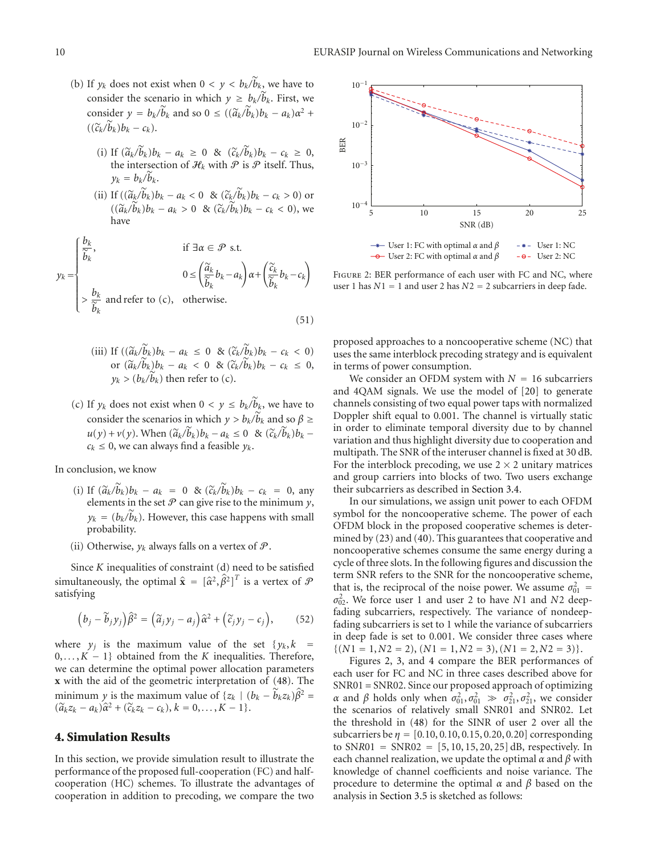- (b) If  $y_k$  does not exist when  $0 < y < b_k/b_k$ , we have to consider the scenario in which  $y \geq b_k/b_k$ . First, we consider  $y = b_k/\tilde{b}_k$  and so  $0 \le ((\tilde{a}_k/\tilde{b}_k)b_k - a_k)\alpha^2 +$  $((\widetilde{c}_k/b_k)b_k-c_k).$ 
	- (i) If  $(\tilde{a}_k/b_k)b_k a_k \ge 0$  &  $(\tilde{c}_k/b_k)b_k c_k \ge 0$ , the intersection of  $\mathcal{P}_k$  with  $\mathcal{P}_k$  is  $\mathcal{P}_k$  itself. Thus the intersection of  $\mathcal{H}_k$  with  $\mathcal P$  is  $\mathcal P$  itself. Thus,  $y_k = b_k/b_k$ .
	- (ii) If  $((\widetilde{a}_k/b_k)b_k a_k < 0 \& (\widetilde{c}_k/b_k)b_k c_k > 0$  or  $((\widetilde{a}_k/b_k)b_k - a_k > 0 \& (\widetilde{c}_k/b_k)b_k - c_k < 0),$  we have

$$
y_k = \begin{cases} \frac{b_k}{\widetilde{b}_k}, & \text{if } \exists \alpha \in \mathcal{P} \text{ s.t.} \\ & 0 \le \left(\frac{\widetilde{a}_k}{\widetilde{b}_k} b_k - a_k\right) \alpha + \left(\frac{\widetilde{c}_k}{\widetilde{b}_k} b_k - c_k\right) \\ & > \frac{b_k}{\widetilde{b}_k} \text{ and refer to (c), otherwise.} \end{cases}
$$
(51)

- (iii) If  $((\widetilde{a}_k/b_k)b_k a_k \leq 0 \& (\widetilde{c}_k/b_k)b_k c_k < 0$ ) or  $(\widetilde{a}_k/b_k)b_k - a_k < 0$  &  $(\widetilde{c}_k/b_k)b_k - c_k \le 0$ ,  $y_k$  > ( $b_k/b_k$ ) then refer to (c).
- (c) If  $y_k$  does not exist when  $0 < y \le b_k/b_k$ , we have to consider the scenarios in which  $y > b_k/b_k$  and so  $\beta \ge$  $u(y) + v(y)$ . When  $(\tilde{a}_k/b_k)b_k - a_k \le 0$  &  $(\tilde{c}_k/b_k)b_k - a_k \le 0$  we can always find a feasible *y*  $c_k \leq 0$ , we can always find a feasible  $y_k$ .

In conclusion, we know

- (i) If  $(\tilde{a}_k/b_k)b_k a_k = 0$  &  $(\tilde{c}_k/b_k)b_k c_k = 0$ , any elements in the set  $P$  can give rise to the minimum v elements in the set  $P$  can give rise to the minimum  $y$ ,  $y_k = (b_k/b_k)$ . However, this case happens with small probability.
- (ii) Otherwise,  $y_k$  always falls on a vertex of  $\mathcal{P}$ .

Since *K* inequalities of constraint (d) need to be satisfied simultaneously, the optimal  $\hat{\mathbf{x}} = [\hat{\alpha}^2, \hat{\beta}^2]^T$  is a vertex of  $\mathcal{P}$ satisfying

$$
\left(b_j - \widetilde{b}_j y_j\right) \widehat{\beta}^2 = \left(\widetilde{a}_j y_j - a_j\right) \widehat{\alpha}^2 + \left(\widetilde{c}_j y_j - c_j\right),\tag{52}
$$

where  $y_j$  is the maximum value of the set  $\{y_k, k\}$ 0, *...* ,*K* − 1} obtained from the *K* inequalities. Therefore, we can determine the optimal power allocation parameters **x** with the aid of the geometric interpretation of (48). The minimum *y* is the maximum value of  $\{z_k \mid (b_k - \tilde{b}_k z_k)\hat{\beta}^2 =$  $(\widetilde{a}_k z_k - a_k)\widehat{\alpha}^2 + (\widetilde{c}_k z_k - c_k), k = 0, \ldots, K - 1\}.$ 

## **4. Simulation Results**

In this section, we provide simulation result to illustrate the performance of the proposed full-cooperation (FC) and halfcooperation (HC) schemes. To illustrate the advantages of cooperation in addition to precoding, we compare the two



Figure 2: BER performance of each user with FC and NC, where user 1 has *N*1 = 1 and user 2 has *N*2 = 2 subcarriers in deep fade.

proposed approaches to a noncooperative scheme (NC) that uses the same interblock precoding strategy and is equivalent in terms of power consumption.

We consider an OFDM system with  $N = 16$  subcarriers and 4QAM signals. We use the model of [20] to generate channels consisting of two equal power taps with normalized Doppler shift equal to 0*.*001. The channel is virtually static in order to eliminate temporal diversity due to by channel variation and thus highlight diversity due to cooperation and multipath. The SNR of the interuser channel is fixed at 30 dB. For the interblock precoding, we use  $2 \times 2$  unitary matrices and group carriers into blocks of two. Two users exchange their subcarriers as described in Section 3.4.

In our simulations, we assign unit power to each OFDM symbol for the noncooperative scheme. The power of each OFDM block in the proposed cooperative schemes is determined by (23) and (40). This guarantees that cooperative and noncooperative schemes consume the same energy during a cycle of three slots. In the following figures and discussion the term SNR refers to the SNR for the noncooperative scheme, that is, the reciprocal of the noise power. We assume  $\sigma_{01}^2$ *σ*2 02. We force user 1 and user 2 to have *N*1 and *N*2 deepfading subcarriers, respectively. The variance of nondeepfading subcarriers is set to 1 while the variance of subcarriers in deep fade is set to 0*.*001. We consider three cases where  $\{(N1 = 1, N2 = 2), (N1 = 1, N2 = 3), (N1 = 2, N2 = 3)\}.$ 

Figures 2, 3, and 4 compare the BER performances of each user for FC and NC in three cases described above for SNR01 = SNR02. Since our proposed approach of optimizing *α* and *β* holds only when  $\sigma_{01}^2$ ,  $\sigma_{01}^2 \gg \sigma_{21}^2$ ,  $\sigma_{21}^2$ , we consider the scenarios of relatively small SNR01 and SNR02. Let the threshold in (48) for the SINR of user 2 over all the subcarriers be *η* = [0*.*10, 0*.*10, 0*.*15, 0*.*20, 0*.*20] corresponding to SN*R*01 = SNR02 = [5, 10, 15, 20, 25] dB, respectively. In each channel realization, we update the optimal *α* and *β* with knowledge of channel coefficients and noise variance. The procedure to determine the optimal *α* and *β* based on the analysis in Section 3.5 is sketched as follows: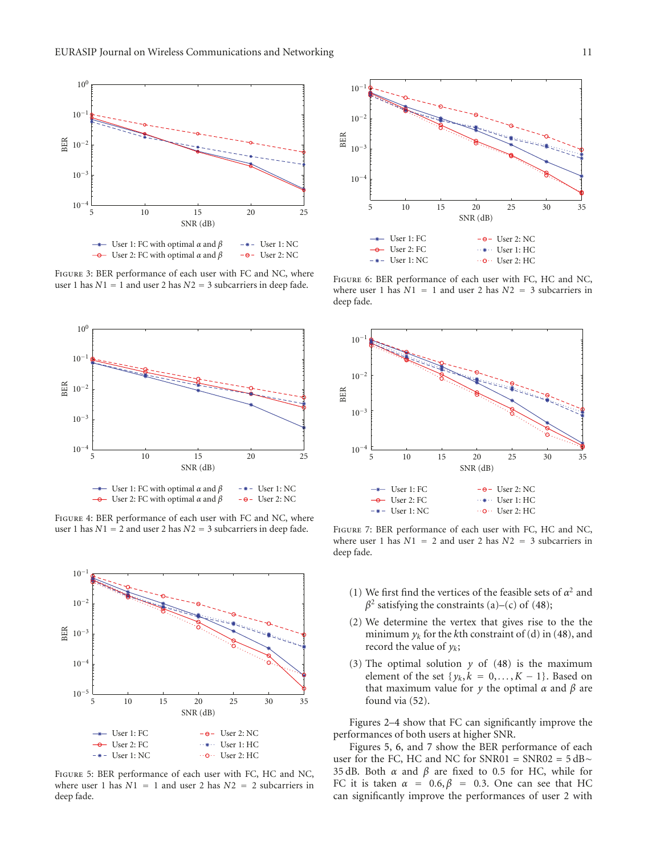

Figure 3: BER performance of each user with FC and NC, where user 1 has  $N1 = 1$  and user 2 has  $N2 = 3$  subcarriers in deep fade.



Figure 4: BER performance of each user with FC and NC, where user 1 has  $N1 = 2$  and user 2 has  $N2 = 3$  subcarriers in deep fade.



Figure 5: BER performance of each user with FC, HC and NC, where user 1 has  $N1 = 1$  and user 2 has  $N2 = 2$  subcarriers in deep fade.



FIGURE 6: BER performance of each user with FC, HC and NC, where user 1 has  $N1 = 1$  and user 2 has  $N2 = 3$  subcarriers in deep fade.



Figure 7: BER performance of each user with FC, HC and NC, where user 1 has *N*1 = 2 and user 2 has *N*2 = 3 subcarriers in deep fade.

- (1) We first find the vertices of the feasible sets of  $\alpha^2$  and  $\beta^2$  satisfying the constraints (a)–(c) of (48);
- (2) We determine the vertex that gives rise to the the minimum  $y_k$  for the *k*th constraint of (d) in (48), and record the value of *yk*;
- (3) The optimal solution  $y$  of (48) is the maximum element of the set  $\{y_k, k = 0, \ldots, K - 1\}$ . Based on that maximum value for *y* the optimal *α* and *β* are found via (52).

Figures 2–4 show that FC can significantly improve the performances of both users at higher SNR.

Figures 5, 6, and 7 show the BER performance of each user for the FC, HC and NC for SNR01 = SNR02 =  $5$  dB $\sim$ 35 dB. Both *α* and *β* are fixed to 0*.*5 for HC, while for FC it is taken  $\alpha = 0.6$ ,  $\beta = 0.3$ . One can see that HC can significantly improve the performances of user 2 with